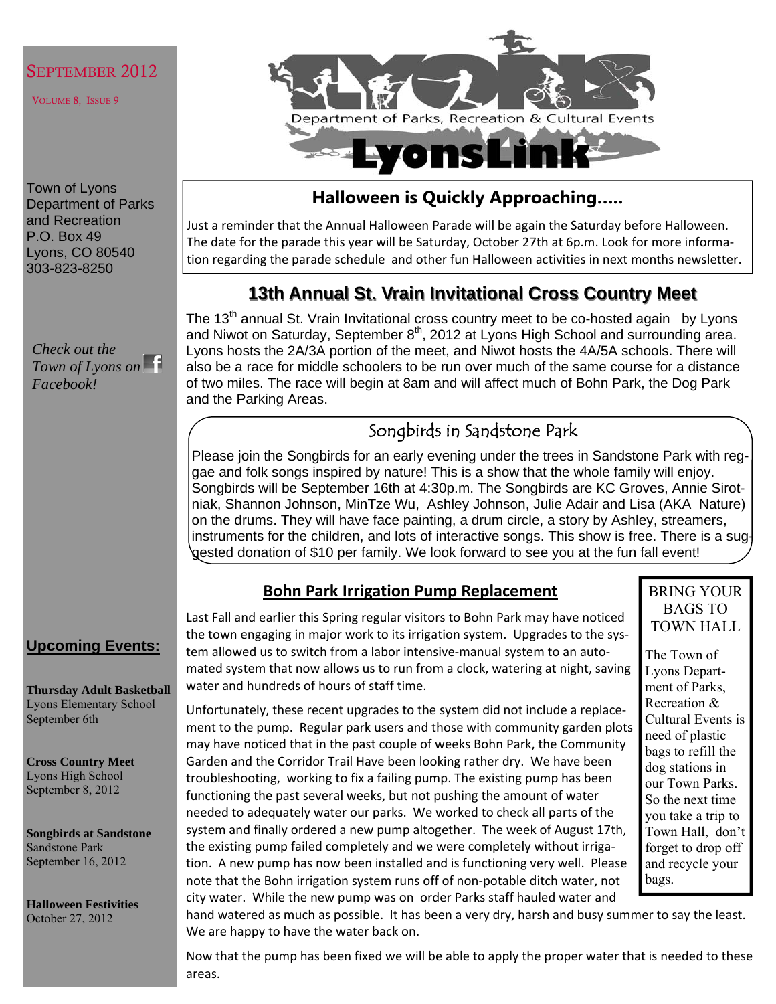### SEPTEMBER 2012

VOLUME 8, ISSUE 9

Town of Lyons Department of Parks and Recreation P.O. Box 49 Lyons, CO 80540 303-823-8250

*Check out the Town of Lyons on Facebook!* 



## **Halloween is Quickly Approaching…..**

Just a reminder that the Annual Halloween Parade will be again the Saturday before Halloween. The date for the parade this year will be Saturday, October 27th at 6p.m. Look for more informa‐ tion regarding the parade schedule and other fun Halloween activities in next months newsletter.

## **13th Annual St. Vrain Invitational Cross Country Meet 13th Annual St. Vrain Invitational Cross Country Meet**

The 13<sup>th</sup> annual St. Vrain Invitational cross country meet to be co-hosted again by Lyons and Niwot on Saturday, September  $8<sup>th</sup>$ , 2012 at Lyons High School and surrounding area. Lyons hosts the 2A/3A portion of the meet, and Niwot hosts the 4A/5A schools. There will also be a race for middle schoolers to be run over much of the same course for a distance of two miles. The race will begin at 8am and will affect much of Bohn Park, the Dog Park and the Parking Areas.

## Songbirds in Sandstone Park

Please join the Songbirds for an early evening under the trees in Sandstone Park with reggae and folk songs inspired by nature! This is a show that the whole family will enjoy. Songbirds will be September 16th at 4:30p.m. The Songbirds are KC Groves, Annie Sirotniak, Shannon Johnson, MinTze Wu, Ashley Johnson, Julie Adair and Lisa (AKA Nature) on the drums. They will have face painting, a drum circle, a story by Ashley, streamers, instruments for the children, and lots of interactive songs. This show is free. There is a suggested donation of \$10 per family. We look forward to see you at the fun fall event!

## **Bohn Park Irrigation Pump Replacement**

Last Fall and earlier this Spring regular visitors to Bohn Park may have noticed the town engaging in major work to its irrigation system. Upgrades to the system allowed us to switch from a labor intensive‐manual system to an auto‐ mated system that now allows us to run from a clock, watering at night, saving water and hundreds of hours of staff time.

Unfortunately, these recent upgrades to the system did not include a replace‐ ment to the pump. Regular park users and those with community garden plots may have noticed that in the past couple of weeks Bohn Park, the Community Garden and the Corridor Trail Have been looking rather dry. We have been troubleshooting, working to fix a failing pump. The existing pump has been functioning the past several weeks, but not pushing the amount of water needed to adequately water our parks. We worked to check all parts of the system and finally ordered a new pump altogether. The week of August 17th, the existing pump failed completely and we were completely without irriga‐ tion. A new pump has now been installed and is functioning very well. Please note that the Bohn irrigation system runs off of non‐potable ditch water, not city water. While the new pump was on order Parks staff hauled water and

BRING YOUR BAGS TO TOWN HALL

The Town of Lyons Department of Parks, Recreation & Cultural Events is need of plastic bags to refill the dog stations in our Town Parks. So the next time you take a trip to Town Hall, don't forget to drop off and recycle your bags.

hand watered as much as possible. It has been a very dry, harsh and busy summer to say the least. We are happy to have the water back on.

Now that the pump has been fixed we will be able to apply the proper water that is needed to these areas.

## **Upcoming Events:**

**Thursday Adult Basketball**  Lyons Elementary School September 6th

**Cross Country Meet**  Lyons High School September 8, 2012

**Songbirds at Sandstone**  Sandstone Park September 16, 2012

**Halloween Festivities**  October 27, 2012